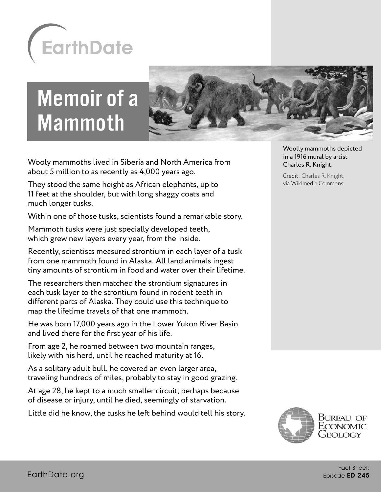

# Memoir of a Mammoth



Wooly mammoths lived in Siberia and North America from about 5 million to as recently as 4,000 years ago.

They stood the same height as African elephants, up to 11 feet at the shoulder, but with long shaggy coats and much longer tusks.

Within one of those tusks, scientists found a remarkable story.

Mammoth tusks were just specially developed teeth, which grew new layers every year, from the inside.

Recently, scientists measured strontium in each layer of a tusk from one mammoth found in Alaska. All land animals ingest tiny amounts of strontium in food and water over their lifetime.

The researchers then matched the strontium signatures in each tusk layer to the strontium found in rodent teeth in different parts of Alaska. They could use this technique to map the lifetime travels of that one mammoth.

He was born 17,000 years ago in the Lower Yukon River Basin and lived there for the first year of his life.

From age 2, he roamed between two mountain ranges, likely with his herd, until he reached maturity at 16.

As a solitary adult bull, he covered an even larger area, traveling hundreds of miles, probably to stay in good grazing.

At age 28, he kept to a much smaller circuit, perhaps because of disease or injury, until he died, seemingly of starvation.

Little did he know, the tusks he left behind would tell his story.

Woolly mammoths depicted in a 1916 mural by artist Charles R. Knight.

Credit: [Charles R. Knight,](https://gizmodo.com/celebrating-charles-r-knight-the-artist-who-first-bro-5891441) via Wikimedia Commons

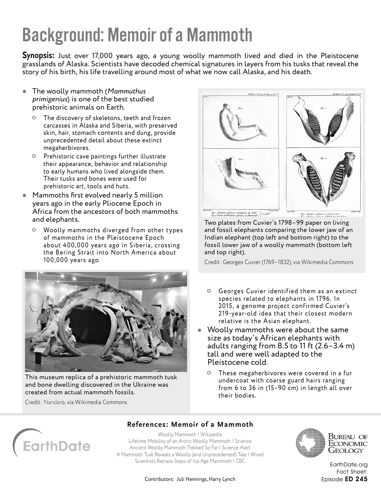## Background: Memoir of a Mammoth

**Synopsis:** Just over 17,000 years ago, a young woolly mammoth lived and died in the Pleistocene grasslands of Alaska. Scientists have decoded chemical signatures in layers from his tusks that reveal the story of his birth, his life travelling around most of what we now call Alaska, and his death.

- The woolly mammoth (*Mammuthus primigenius*) is one of the best studied prehistoric animals on Earth.
	- The discovery of skeletons, teeth and frozen carcasses in Alaska and Siberia, with preserved skin, hair, stomach contents and dung, provide unprecedented detail about these extinct megaherbivores.
	- Prehistoric cave paintings further illustrate their appearance, behavior and relationship to early humans who lived alongside them. Their tusks and bones were used for prehistoric art, tools and huts.
- Mammoths first evolved nearly 5 million years ago in the early Pliocene Epoch in Africa from the ancestors of both mammoths and elephants.
	- Woolly mammoths diverged from other types of mammoths in the Pleistocene Epoch about 400,000 years ago in Siberia, crossing the Bering Strait into North America about 100,000 years ago.



This museum replica of a prehistoric mammoth tusk and bone dwelling discovered in the Ukraine was created from actual mammoth fossils.

Credit: [Nandaro](https://creativecommons.org/licenses/), via Wikimedia Commons



Two plates from Cuvier's 1798–99 paper on living and fossil elephants comparing the lower jaw of an Indian elephant (top left and bottom right) to the

fossil lower jaw of a woolly mammoth (bottom left and top right).

Credit: Georges Cuvier (1769–1832), via Wikimedia Commons

- Georges Cuvier identified them as an extinct species related to elephants in 1796. In 2015, a genome project confirmed Cuvier's 219-year-old idea that their closest modern relative is the Asian elephant.
- Woolly mammoths were about the same size as today's African elephants with adults ranging from 8.5 to 11 ft (2.6–3.4 m) tall and were well adapted to the Pleistocene cold.
	- These megaherbivores were covered in a fur undercoat with coarse guard hairs ranging from 6 to 36 in (15–90 cm) in length all over their bodies.



## **References: Memoir of a Mammoth**

[Woolly Mammoth | Wikipedia](https://en.wikipedia.org/wiki/Woolly_mammoth) [Lifetime Mobility of an Arctic Woolly Mammoth | Science](https://science.sciencemag.org/content/373/6556/806) [Ancient Woolly Mammoth Trekked So Far | Science Alert](https://www.sciencealert.com/researchers-decipher-the-travel-diary-written-within-a-17-000-year-old-mammoth-s-tusk?utm_source=ScienceAlert+-+Daily+Email+Updates&utm_campaign=56eac43ab8-MAILCHIMP_EMAIL_CAMPAIGN&utm_medium=email&utm_term=0_fe5632fb09-56eac43ab8-365963921) [A Mammoth Tusk Reveals a Woolly \(and Unprecedented\) Tale | Wired](https://www.wired.com/story/a-mammoth-tusk-reveals-a-woolly-and-unprecedented-tale/) [Scientists Retrace Steps of Ice Age Mammoth | CBC](https://www.cbc.ca/news/science/mammoth-tusk-1.6139008)



Bureau of ECONOMIC Geology

[EarthDate.org](http://www.earthdate.org) Fact Sheet: Episode ED 245

Contributors: Juli Hennings, Harry Lynch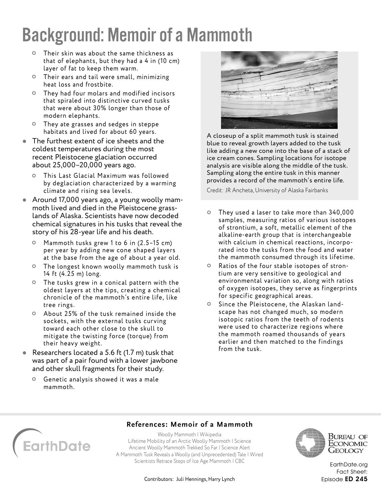# Background: Memoir of a Mammoth

- Their skin was about the same thickness as that of elephants, but they had a 4 in (10 cm) layer of fat to keep them warm.
- Their ears and tail were small, minimizing heat loss and frostbite.
- They had four molars and modified incisors that spiraled into distinctive curved tusks that were about 30% longer than those of modern elephants.
- They ate grasses and sedges in steppe habitats and lived for about 60 years.
- The furthest extent of ice sheets and the coldest temperatures during the most recent Pleistocene glaciation occurred about 25,000–20,000 years ago.
	- This Last Glacial Maximum was followed by deglaciation characterized by a warming climate and rising sea levels.
- Around 17,000 years ago, a young woolly mammoth lived and died in the Pleistocene grasslands of Alaska. Scientists have now decoded chemical signatures in his tusks that reveal the story of his 28-year life and his death.
	- Mammoth tusks grew 1 to 6 in (2.5–15 cm) per year by adding new cone shaped layers at the base from the age of about a year old.
	- The longest known woolly mammoth tusk is 14 ft (4.25 m) long.
	- The tusks grew in a conical pattern with the oldest layers at the tips, creating a chemical chronicle of the mammoth's entire life, like tree rings.
	- About 25% of the tusk remained inside the sockets, with the external tusks curving toward each other close to the skull to mitigate the twisting force (torque) from their heavy weight.
- Researchers located a 5.6 ft (1.7 m) tusk that was part of a pair found with a lower jawbone and other skull fragments for their study.
	- Genetic analysis showed it was a male mammoth.



A closeup of a split mammoth tusk is stained blue to reveal growth layers added to the tusk like adding a new cone into the base of a stack of ice cream cones. Sampling locations for isotope analysis are visible along the middle of the tusk. Sampling along the entire tusk in this manner provides a record of the mammoth's entire life.

Credit: JR Ancheta, University of Alaska Fairbanks

- They used a laser to take more than 340,000 samples, measuring ratios of various isotopes of strontium, a soft, metallic element of the alkaline-earth group that is interchangeable with calcium in chemical reactions, incorporated into the tusks from the food and water the mammoth consumed through its lifetime.
- Ratios of the four stable isotopes of strontium are very sensitive to geological and environmental variation so, along with ratios of oxygen isotopes, they serve as fingerprints for specific geographical areas.
- Since the Pleistocene, the Alaskan landscape has not changed much, so modern isotopic ratios from the teeth of rodents were used to characterize regions where the mammoth roamed thousands of years earlier and then matched to the findings from the tusk.

# **arthDate**

## **References: Memoir of a Mammoth**

[Woolly Mammoth | Wikipedia](https://en.wikipedia.org/wiki/Woolly_mammoth) [Lifetime Mobility of an Arctic Woolly Mammoth | Science](https://science.sciencemag.org/content/373/6556/806) [Ancient Woolly Mammoth Trekked So Far | Science Alert](https://www.sciencealert.com/researchers-decipher-the-travel-diary-written-within-a-17-000-year-old-mammoth-s-tusk?utm_source=ScienceAlert+-+Daily+Email+Updates&utm_campaign=56eac43ab8-MAILCHIMP_EMAIL_CAMPAIGN&utm_medium=email&utm_term=0_fe5632fb09-56eac43ab8-365963921) [A Mammoth Tusk Reveals a Woolly \(and Unprecedented\) Tale | Wired](https://www.wired.com/story/a-mammoth-tusk-reveals-a-woolly-and-unprecedented-tale/) [Scientists Retrace Steps of Ice Age Mammoth | CBC](https://www.cbc.ca/news/science/mammoth-tusk-1.6139008)



Bureau of Economic Geology

[EarthDate.org](http://www.earthdate.org) Fact Sheet: Episode ED 245

#### Contributors: Juli Hennings, Harry Lynch